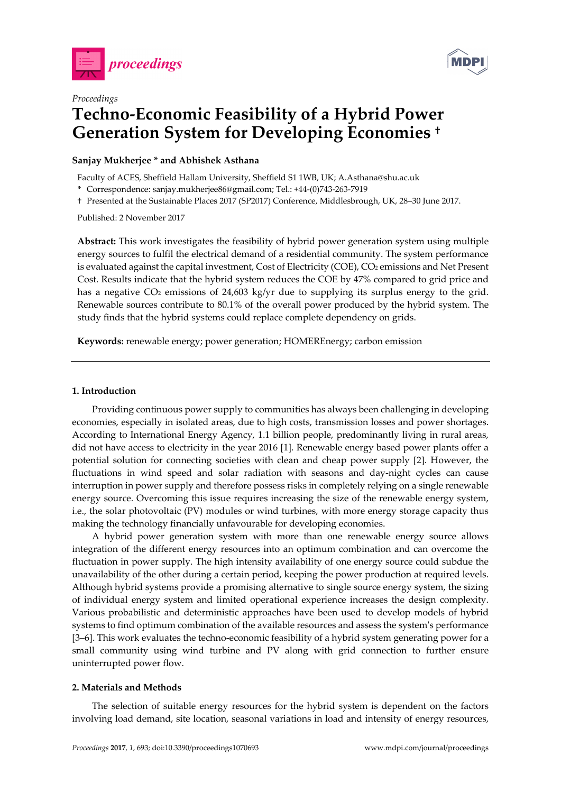



# *Proceedings*  **Techno-Economic Feasibility of a Hybrid Power Generation System for Developing Economies †**

## **Sanjay Mukherjee \* and Abhishek Asthana**

Faculty of ACES, Sheffield Hallam University, Sheffield S1 1WB, UK; A.Asthana@shu.ac.uk

**\*** Correspondence: sanjay.mukherjee86@gmail.com; Tel.: +44-(0)743-263-7919

† Presented at the Sustainable Places 2017 (SP2017) Conference, Middlesbrough, UK, 28–30 June 2017.

Published: 2 November 2017

**Abstract:** This work investigates the feasibility of hybrid power generation system using multiple energy sources to fulfil the electrical demand of a residential community. The system performance is evaluated against the capital investment, Cost of Electricity (COE), CO<sub>2</sub> emissions and Net Present Cost. Results indicate that the hybrid system reduces the COE by 47% compared to grid price and has a negative CO<sub>2</sub> emissions of 24,603 kg/yr due to supplying its surplus energy to the grid. Renewable sources contribute to 80.1% of the overall power produced by the hybrid system. The study finds that the hybrid systems could replace complete dependency on grids.

**Keywords:** renewable energy; power generation; HOMEREnergy; carbon emission

### **1. Introduction**

Providing continuous power supply to communities has always been challenging in developing economies, especially in isolated areas, due to high costs, transmission losses and power shortages. According to International Energy Agency, 1.1 billion people, predominantly living in rural areas, did not have access to electricity in the year 2016 [1]. Renewable energy based power plants offer a potential solution for connecting societies with clean and cheap power supply [2]. However, the fluctuations in wind speed and solar radiation with seasons and day-night cycles can cause interruption in power supply and therefore possess risks in completely relying on a single renewable energy source. Overcoming this issue requires increasing the size of the renewable energy system, i.e., the solar photovoltaic (PV) modules or wind turbines, with more energy storage capacity thus making the technology financially unfavourable for developing economies.

A hybrid power generation system with more than one renewable energy source allows integration of the different energy resources into an optimum combination and can overcome the fluctuation in power supply. The high intensity availability of one energy source could subdue the unavailability of the other during a certain period, keeping the power production at required levels. Although hybrid systems provide a promising alternative to single source energy system, the sizing of individual energy system and limited operational experience increases the design complexity. Various probabilistic and deterministic approaches have been used to develop models of hybrid systems to find optimum combination of the available resources and assess the system's performance [3–6]. This work evaluates the techno-economic feasibility of a hybrid system generating power for a small community using wind turbine and PV along with grid connection to further ensure uninterrupted power flow.

## **2. Materials and Methods**

The selection of suitable energy resources for the hybrid system is dependent on the factors involving load demand, site location, seasonal variations in load and intensity of energy resources,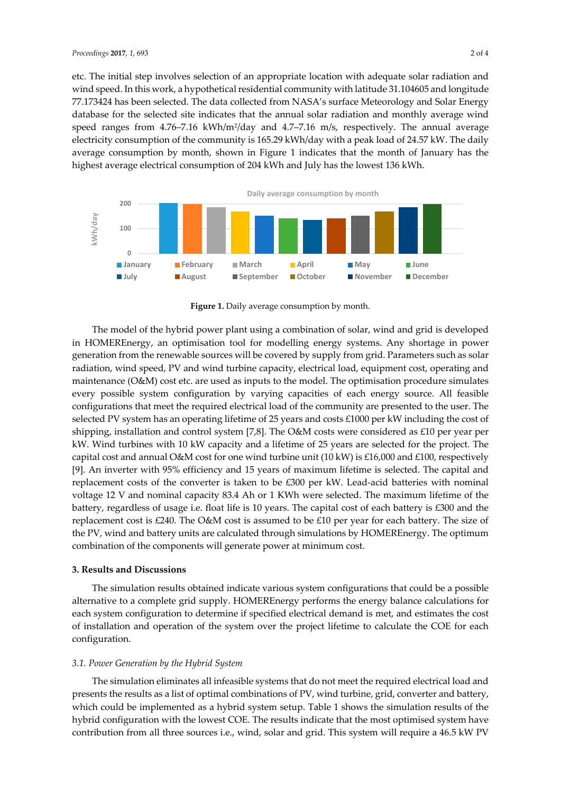etc. The initial step involves selection of an appropriate location with adequate solar radiation and wind speed. In this work, a hypothetical residential community with latitude 31.104605 and longitude 77.173424 has been selected. The data collected from NASA's surface Meteorology and Solar Energy database for the selected site indicates that the annual solar radiation and monthly average wind speed ranges from 4.76–7.16 kWh/m2/day and 4.7–7.16 m/s, respectively. The annual average electricity consumption of the community is 165.29 kWh/day with a peak load of 24.57 kW. The daily average consumption by month, shown in Figure 1 indicates that the month of January has the highest average electrical consumption of 204 kWh and July has the lowest 136 kWh.



Figure 1. Daily average consumption by month.

The model of the hybrid power plant using a combination of solar, wind and grid is developed in HOMEREnergy, an optimisation tool for modelling energy systems. Any shortage in power generation from the renewable sources will be covered by supply from grid. Parameters such as solar radiation, wind speed, PV and wind turbine capacity, electrical load, equipment cost, operating and maintenance (O&M) cost etc. are used as inputs to the model. The optimisation procedure simulates every possible system configuration by varying capacities of each energy source. All feasible configurations that meet the required electrical load of the community are presented to the user. The selected PV system has an operating lifetime of 25 years and costs £1000 per kW including the cost of shipping, installation and control system [7,8]. The O&M costs were considered as £10 per year per kW. Wind turbines with 10 kW capacity and a lifetime of 25 years are selected for the project. The capital cost and annual O&M cost for one wind turbine unit (10 kW) is £16,000 and £100, respectively [9]. An inverter with 95% efficiency and 15 years of maximum lifetime is selected. The capital and replacement costs of the converter is taken to be £300 per kW. Lead-acid batteries with nominal voltage 12 V and nominal capacity 83.4 Ah or 1 KWh were selected. The maximum lifetime of the battery, regardless of usage i.e. float life is 10 years. The capital cost of each battery is £300 and the replacement cost is £240. The O&M cost is assumed to be £10 per year for each battery. The size of the PV, wind and battery units are calculated through simulations by HOMEREnergy. The optimum combination of the components will generate power at minimum cost.

#### **3. Results and Discussions**

The simulation results obtained indicate various system configurations that could be a possible alternative to a complete grid supply. HOMEREnergy performs the energy balance calculations for each system configuration to determine if specified electrical demand is met, and estimates the cost of installation and operation of the system over the project lifetime to calculate the COE for each configuration.

#### *3.1. Power Generation by the Hybrid System*

The simulation eliminates all infeasible systems that do not meet the required electrical load and presents the results as a list of optimal combinations of PV, wind turbine, grid, converter and battery, which could be implemented as a hybrid system setup. Table 1 shows the simulation results of the hybrid configuration with the lowest COE. The results indicate that the most optimised system have contribution from all three sources i.e., wind, solar and grid. This system will require a 46.5 kW PV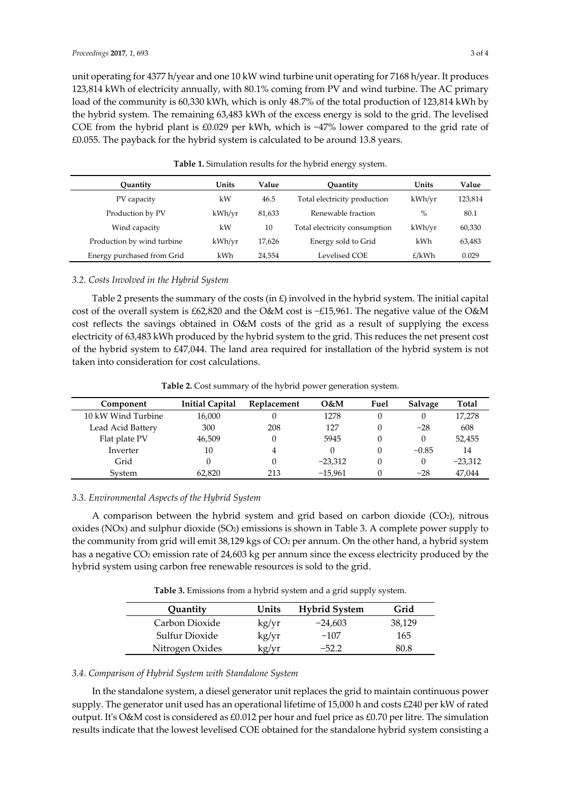unit operating for 4377 h/year and one 10 kW wind turbine unit operating for 7168 h/year. It produces 123,814 kWh of electricity annually, with 80.1% coming from PV and wind turbine. The AC primary load of the community is 60,330 kWh, which is only 48.7% of the total production of 123,814 kWh by the hybrid system. The remaining 63,483 kWh of the excess energy is sold to the grid. The levelised COE from the hybrid plant is £0.029 per kWh, which is ~47% lower compared to the grid rate of  $£0.055$ . The payback for the hybrid system is calculated to be around 13.8 years.

| Ouantity                   | Units  | Value  | Ouantity                      | Units  | Value   |
|----------------------------|--------|--------|-------------------------------|--------|---------|
| PV capacity                | kW     | 46.5   | Total electricity production  | kWh/vr | 123,814 |
| Production by PV           | kWh/vr | 81,633 | Renewable fraction            | $\%$   | 80.1    |
| Wind capacity              | kW     | 10     | Total electricity consumption | kWh/vr | 60,330  |
| Production by wind turbine | kWh/vr | 17,626 | Energy sold to Grid           | kWh    | 63,483  |
| Energy purchased from Grid | kWh    | 24.554 | Levelised COE                 | £/kWh  | 0.029   |

**Table 1.** Simulation results for the hybrid energy system.

### *3.2. Costs Involved in the Hybrid System*

Table 2 presents the summary of the costs (in  $E$ ) involved in the hybrid system. The initial capital cost of the overall system is £62,820 and the O&M cost is −£15,961. The negative value of the O&M cost reflects the savings obtained in O&M costs of the grid as a result of supplying the excess electricity of 63,483 kWh produced by the hybrid system to the grid. This reduces the net present cost of the hybrid system to £47,044. The land area required for installation of the hybrid system is not taken into consideration for cost calculations.

**Table 2.** Cost summary of the hybrid power generation system.

| Component          | <b>Initial Capital</b> | Replacement | O&M       | Fuel | Salvage | Total     |
|--------------------|------------------------|-------------|-----------|------|---------|-----------|
| 10 kW Wind Turbine | 16,000                 |             | 1278      |      |         | 17,278    |
| Lead Acid Battery  | 300                    | 208         | 127       |      | $-28$   | 608       |
| Flat plate PV      | 46,509                 | 0           | 5945      |      |         | 52,455    |
| Inverter           | 10                     | 4           |           |      | $-0.85$ | 14        |
| Grid               |                        | $\theta$    | $-23.312$ |      |         | $-23,312$ |
| System             | 62.820                 | 213         | $-15.961$ |      | $-28$   | 47.044    |

### *3.3. Environmental Aspects of the Hybrid System*

A comparison between the hybrid system and grid based on carbon dioxide  $(CO<sub>2</sub>)$ , nitrous oxides (NOx) and sulphur dioxide (SO<sub>2</sub>) emissions is shown in Table 3. A complete power supply to the community from grid will emit 38,129 kgs of CO<sub>2</sub> per annum. On the other hand, a hybrid system has a negative CO<sub>2</sub> emission rate of 24,603 kg per annum since the excess electricity produced by the hybrid system using carbon free renewable resources is sold to the grid.

**Table 3.** Emissions from a hybrid system and a grid supply system.

| Quantity        | Units | <b>Hybrid System</b> | Grid   |
|-----------------|-------|----------------------|--------|
| Carbon Dioxide  | kg/yr | $-24.603$            | 38,129 |
| Sulfur Dioxide  | kg/yr | $-107$               | 165    |
| Nitrogen Oxides | kg/yr | $-522$               | 80.8   |

#### *3.4. Comparison of Hybrid System with Standalone System*

In the standalone system, a diesel generator unit replaces the grid to maintain continuous power supply. The generator unit used has an operational lifetime of 15,000 h and costs £240 per kW of rated output. It's O&M cost is considered as £0.012 per hour and fuel price as £0.70 per litre. The simulation results indicate that the lowest levelised COE obtained for the standalone hybrid system consisting a